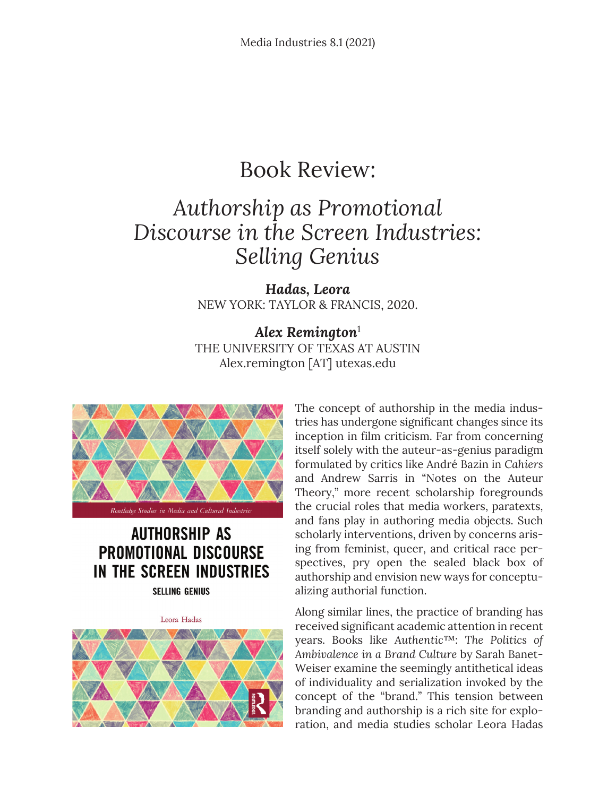## Book Review:

## *Authorship as Promotional Discourse in the Screen Industries: Selling Genius*

*Hadas, Leora* NEW YORK: TAYLOR & FRANCIS, 2020.

*Alex Remington*<sup>1</sup> THE UNIVERSITY OF TEXAS AT AUSTIN Alex.remington [AT] utexas.edu



## **AUTHORSHIP AS PROMOTIONAL DISCOURSE** IN THE SCREEN INDUSTRIES

**SELLING GENIUS** 

Leora Hadas



The concept of authorship in the media industries has undergone significant changes since its inception in film criticism. Far from concerning itself solely with the auteur-as-genius paradigm formulated by critics like André Bazin in *Cahiers* and Andrew Sarris in "Notes on the Auteur Theory," more recent scholarship foregrounds the crucial roles that media workers, paratexts, and fans play in authoring media objects. Such scholarly interventions, driven by concerns arising from feminist, queer, and critical race perspectives, pry open the sealed black box of authorship and envision new ways for conceptualizing authorial function.

Along similar lines, the practice of branding has received significant academic attention in recent years. Books like *Authentic*™: *The Politics of Ambivalence in a Brand Culture* by Sarah Banet-Weiser examine the seemingly antithetical ideas of individuality and serialization invoked by the concept of the "brand." This tension between branding and authorship is a rich site for exploration, and media studies scholar Leora Hadas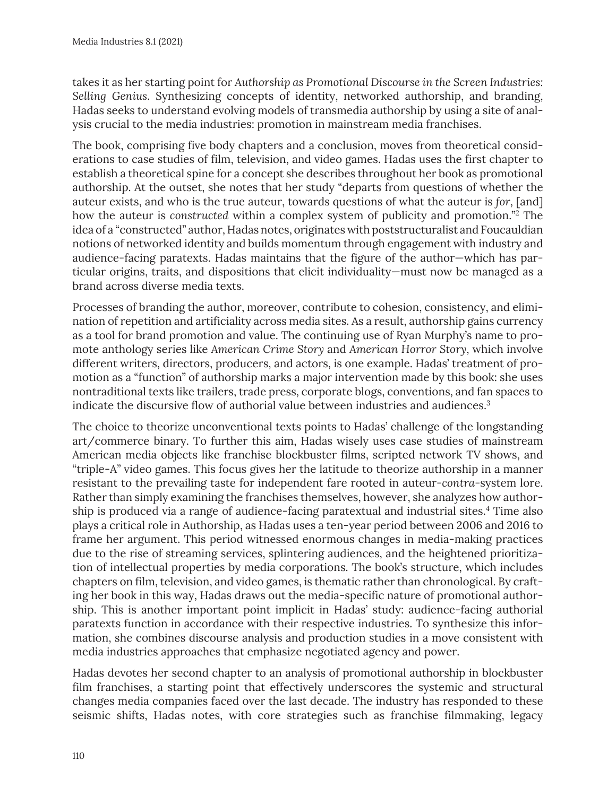takes it as her starting point for *Authorship as Promotional Discourse in the Screen Industries: Selling Genius*. Synthesizing concepts of identity, networked authorship, and branding, Hadas seeks to understand evolving models of transmedia authorship by using a site of analysis crucial to the media industries: promotion in mainstream media franchises.

The book, comprising five body chapters and a conclusion, moves from theoretical considerations to case studies of film, television, and video games. Hadas uses the first chapter to establish a theoretical spine for a concept she describes throughout her book as promotional authorship. At the outset, she notes that her study "departs from questions of whether the auteur exists, and who is the true auteur, towards questions of what the auteur is *for*, [and] how the auteur is *constructed* within a complex system of publicity and promotion."2 The idea of a "constructed" author, Hadas notes, originates with poststructuralist and Foucauldian notions of networked identity and builds momentum through engagement with industry and audience-facing paratexts. Hadas maintains that the figure of the author—which has particular origins, traits, and dispositions that elicit individuality—must now be managed as a brand across diverse media texts.

Processes of branding the author, moreover, contribute to cohesion, consistency, and elimination of repetition and artificiality across media sites. As a result, authorship gains currency as a tool for brand promotion and value. The continuing use of Ryan Murphy's name to promote anthology series like *American Crime Story* and *American Horror Story*, which involve different writers, directors, producers, and actors, is one example. Hadas' treatment of promotion as a "function" of authorship marks a major intervention made by this book: she uses nontraditional texts like trailers, trade press, corporate blogs, conventions, and fan spaces to indicate the discursive flow of authorial value between industries and audiences.<sup>3</sup>

The choice to theorize unconventional texts points to Hadas' challenge of the longstanding art/commerce binary. To further this aim, Hadas wisely uses case studies of mainstream American media objects like franchise blockbuster films, scripted network TV shows, and "triple-A" video games. This focus gives her the latitude to theorize authorship in a manner resistant to the prevailing taste for independent fare rooted in auteur-*contra-*system lore. Rather than simply examining the franchises themselves, however, she analyzes how authorship is produced via a range of audience-facing paratextual and industrial sites.<sup>4</sup> Time also plays a critical role in Authorship, as Hadas uses a ten-year period between 2006 and 2016 to frame her argument. This period witnessed enormous changes in media-making practices due to the rise of streaming services, splintering audiences, and the heightened prioritization of intellectual properties by media corporations. The book's structure, which includes chapters on film, television, and video games, is thematic rather than chronological. By crafting her book in this way, Hadas draws out the media-specific nature of promotional authorship. This is another important point implicit in Hadas' study: audience-facing authorial paratexts function in accordance with their respective industries. To synthesize this information, she combines discourse analysis and production studies in a move consistent with media industries approaches that emphasize negotiated agency and power.

Hadas devotes her second chapter to an analysis of promotional authorship in blockbuster film franchises, a starting point that effectively underscores the systemic and structural changes media companies faced over the last decade. The industry has responded to these seismic shifts, Hadas notes, with core strategies such as franchise filmmaking, legacy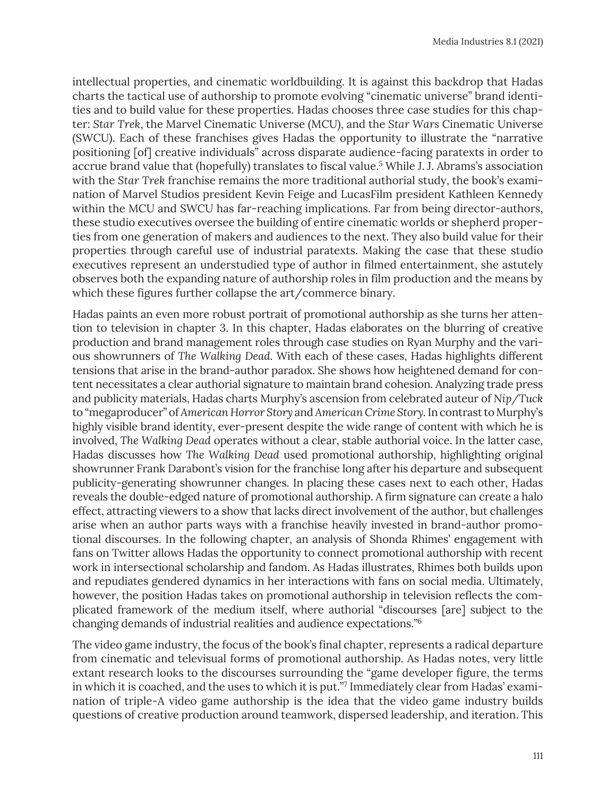intellectual properties, and cinematic worldbuilding. It is against this backdrop that Hadas charts the tactical use of authorship to promote evolving "cinematic universe" brand identities and to build value for these properties. Hadas chooses three case studies for this chapter: *Star Trek*, the Marvel Cinematic Universe (MCU), and the *Star Wars* Cinematic Universe (SWCU). Each of these franchises gives Hadas the opportunity to illustrate the "narrative positioning [of] creative individuals" across disparate audience-facing paratexts in order to accrue brand value that (hopefully) translates to fiscal value.<sup>5</sup> While J. J. Abrams's association with the *Star Trek* franchise remains the more traditional authorial study, the book's examination of Marvel Studios president Kevin Feige and LucasFilm president Kathleen Kennedy within the MCU and SWCU has far-reaching implications. Far from being director-authors, these studio executives oversee the building of entire cinematic worlds or shepherd properties from one generation of makers and audiences to the next. They also build value for their properties through careful use of industrial paratexts. Making the case that these studio executives represent an understudied type of author in filmed entertainment, she astutely observes both the expanding nature of authorship roles in film production and the means by which these figures further collapse the art/commerce binary.

Hadas paints an even more robust portrait of promotional authorship as she turns her attention to television in chapter 3. In this chapter, Hadas elaborates on the blurring of creative production and brand management roles through case studies on Ryan Murphy and the various showrunners of *The Walking Dead*. With each of these cases, Hadas highlights different tensions that arise in the brand-author paradox. She shows how heightened demand for content necessitates a clear authorial signature to maintain brand cohesion. Analyzing trade press and publicity materials, Hadas charts Murphy's ascension from celebrated auteur of *Nip/Tuck* to "megaproducer" of *American Horror Story* and *American Crime Story.* In contrast to Murphy's highly visible brand identity, ever-present despite the wide range of content with which he is involved, *The Walking Dead* operates without a clear, stable authorial voice. In the latter case, Hadas discusses how *The Walking Dead* used promotional authorship, highlighting original showrunner Frank Darabont's vision for the franchise long after his departure and subsequent publicity-generating showrunner changes. In placing these cases next to each other, Hadas reveals the double-edged nature of promotional authorship. A firm signature can create a halo effect, attracting viewers to a show that lacks direct involvement of the author, but challenges arise when an author parts ways with a franchise heavily invested in brand-author promotional discourses. In the following chapter, an analysis of Shonda Rhimes' engagement with fans on Twitter allows Hadas the opportunity to connect promotional authorship with recent work in intersectional scholarship and fandom. As Hadas illustrates, Rhimes both builds upon and repudiates gendered dynamics in her interactions with fans on social media. Ultimately, however, the position Hadas takes on promotional authorship in television reflects the complicated framework of the medium itself, where authorial "discourses [are] subject to the changing demands of industrial realities and audience expectations."6

The video game industry, the focus of the book's final chapter, represents a radical departure from cinematic and televisual forms of promotional authorship. As Hadas notes, very little extant research looks to the discourses surrounding the "game developer figure, the terms in which it is coached, and the uses to which it is put."7 Immediately clear from Hadas' examination of triple-A video game authorship is the idea that the video game industry builds questions of creative production around teamwork, dispersed leadership, and iteration. This